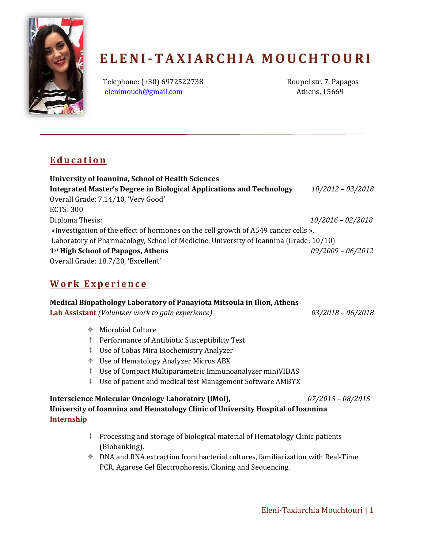

# **E L E N I-T A X I A R C H I A M O U C H T O U R I**

Telephone: (+30) 6972522738 Roupel str. 7, Papagos [elenimouch@gmail.com](mailto:elenimouch@gmail.com) Athens, 15669

# **E d u c a t i o n**

**University of Ioannina, School of Health Sciences Integrated Master's Degree in Biological Applications and Technology** *10/2012 – 03/2018* Overall Grade: 7.14/10, 'Very Good' ECTS: 300 Diploma Thesis: *10/2016 – 02/2018* «Investigation of the effect of hormones on the cell growth of A549 cancer cells », Laboratory of Pharmacology, School of Medicine, University of Ioannina (Grade: 10/10) **1st High School of Papagos, Athens** *09/2009 – 06/2012* Overall Grade: 18.7/20, 'Excellent'

# **W o r k E x p e r i e n c e**

## **Medical Biopathology Laboratory of Panayiota Mitsoula in Ilion, Athens**

**Lab Assistant** *(Volunteer work to gain experience) 03/2018 – 06/2018*

 $\triangleq$  Microbial Culture

- $\triangleq$  Performance of Antibiotic Susceptibility Test
- Use of Cobas Mira Biochemistry Analyzer
- Use of Hematology Analyzer Μicros ABX
- $\div$  Use of Compact Multiparametric Immunoanalyzer miniVIDAS
- Use of patient and medical test Management Software ΑΜΒΥΧ

#### **Interscience Molecular Oncology Laboratory (iMol),** *07/2015 – 08/2015* **University of Ioannina and Hematology Clinic of University Hospital of Ioannina Internship**

- $\triangleq$  Processing and storage of biological material of Hematology Clinic patients (Biobanking).
- $\oplus$  DNA and RNA extraction from bacterial cultures, familiarization with Real-Time PCR, Agarose Gel Electrophoresis, Cloning and Sequencing.